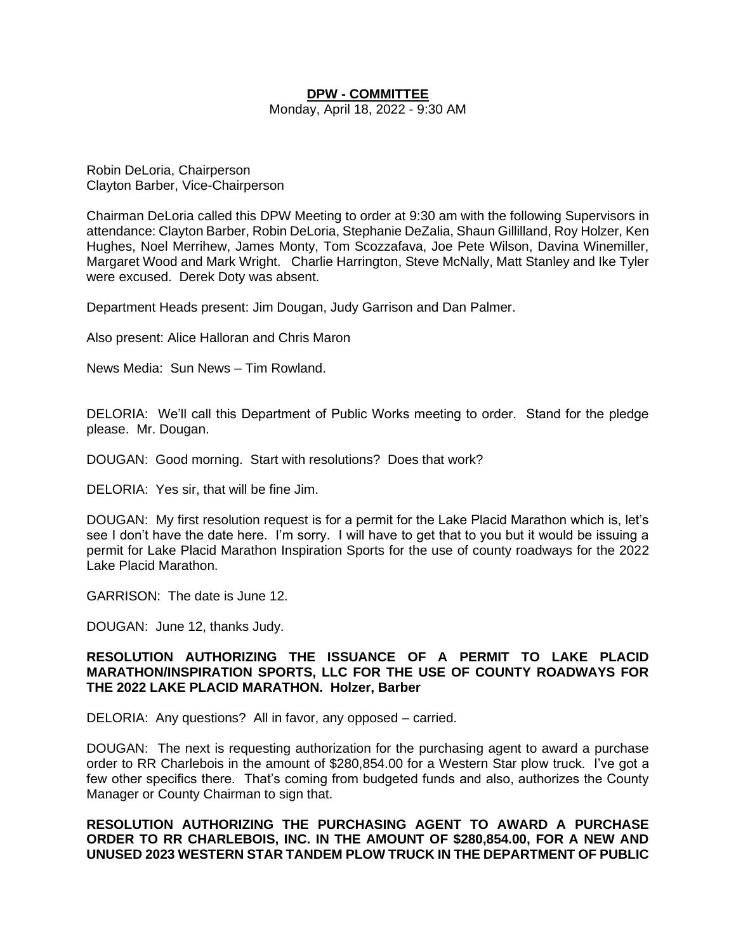### **DPW - COMMITTEE**

Monday, April 18, 2022 - 9:30 AM

Robin DeLoria, Chairperson Clayton Barber, Vice-Chairperson

Chairman DeLoria called this DPW Meeting to order at 9:30 am with the following Supervisors in attendance: Clayton Barber, Robin DeLoria, Stephanie DeZalia, Shaun Gillilland, Roy Holzer, Ken Hughes, Noel Merrihew, James Monty, Tom Scozzafava, Joe Pete Wilson, Davina Winemiller, Margaret Wood and Mark Wright. Charlie Harrington, Steve McNally, Matt Stanley and Ike Tyler were excused. Derek Doty was absent.

Department Heads present: Jim Dougan, Judy Garrison and Dan Palmer.

Also present: Alice Halloran and Chris Maron

News Media: Sun News – Tim Rowland.

DELORIA: We'll call this Department of Public Works meeting to order. Stand for the pledge please. Mr. Dougan.

DOUGAN: Good morning. Start with resolutions? Does that work?

DELORIA: Yes sir, that will be fine Jim.

DOUGAN: My first resolution request is for a permit for the Lake Placid Marathon which is, let's see I don't have the date here. I'm sorry. I will have to get that to you but it would be issuing a permit for Lake Placid Marathon Inspiration Sports for the use of county roadways for the 2022 Lake Placid Marathon.

GARRISON: The date is June 12.

DOUGAN: June 12, thanks Judy.

## **RESOLUTION AUTHORIZING THE ISSUANCE OF A PERMIT TO LAKE PLACID MARATHON/INSPIRATION SPORTS, LLC FOR THE USE OF COUNTY ROADWAYS FOR THE 2022 LAKE PLACID MARATHON. Holzer, Barber**

DELORIA: Any questions? All in favor, any opposed – carried.

DOUGAN: The next is requesting authorization for the purchasing agent to award a purchase order to RR Charlebois in the amount of \$280,854.00 for a Western Star plow truck. I've got a few other specifics there. That's coming from budgeted funds and also, authorizes the County Manager or County Chairman to sign that.

**RESOLUTION AUTHORIZING THE PURCHASING AGENT TO AWARD A PURCHASE ORDER TO RR CHARLEBOIS, INC. IN THE AMOUNT OF \$280,854.00, FOR A NEW AND UNUSED 2023 WESTERN STAR TANDEM PLOW TRUCK IN THE DEPARTMENT OF PUBLIC**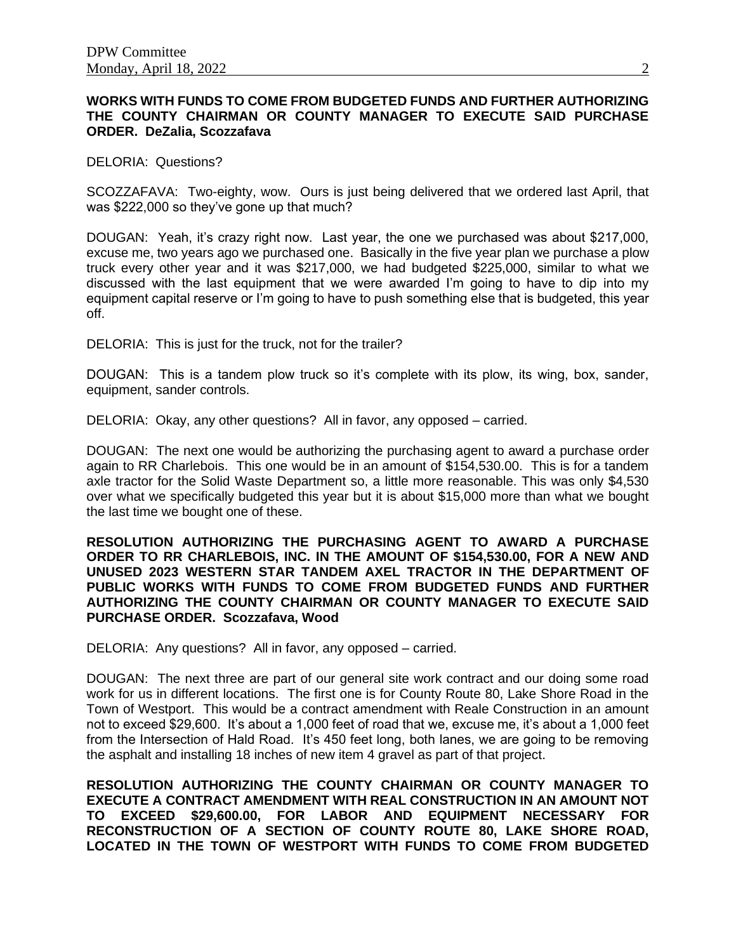## **WORKS WITH FUNDS TO COME FROM BUDGETED FUNDS AND FURTHER AUTHORIZING THE COUNTY CHAIRMAN OR COUNTY MANAGER TO EXECUTE SAID PURCHASE ORDER. DeZalia, Scozzafava**

DELORIA: Questions?

SCOZZAFAVA: Two-eighty, wow. Ours is just being delivered that we ordered last April, that was \$222,000 so they've gone up that much?

DOUGAN: Yeah, it's crazy right now. Last year, the one we purchased was about \$217,000, excuse me, two years ago we purchased one. Basically in the five year plan we purchase a plow truck every other year and it was \$217,000, we had budgeted \$225,000, similar to what we discussed with the last equipment that we were awarded I'm going to have to dip into my equipment capital reserve or I'm going to have to push something else that is budgeted, this year off.

DELORIA: This is just for the truck, not for the trailer?

DOUGAN: This is a tandem plow truck so it's complete with its plow, its wing, box, sander, equipment, sander controls.

DELORIA: Okay, any other questions? All in favor, any opposed – carried.

DOUGAN: The next one would be authorizing the purchasing agent to award a purchase order again to RR Charlebois. This one would be in an amount of \$154,530.00. This is for a tandem axle tractor for the Solid Waste Department so, a little more reasonable. This was only \$4,530 over what we specifically budgeted this year but it is about \$15,000 more than what we bought the last time we bought one of these.

**RESOLUTION AUTHORIZING THE PURCHASING AGENT TO AWARD A PURCHASE ORDER TO RR CHARLEBOIS, INC. IN THE AMOUNT OF \$154,530.00, FOR A NEW AND UNUSED 2023 WESTERN STAR TANDEM AXEL TRACTOR IN THE DEPARTMENT OF PUBLIC WORKS WITH FUNDS TO COME FROM BUDGETED FUNDS AND FURTHER AUTHORIZING THE COUNTY CHAIRMAN OR COUNTY MANAGER TO EXECUTE SAID PURCHASE ORDER. Scozzafava, Wood**

DELORIA: Any questions? All in favor, any opposed – carried.

DOUGAN: The next three are part of our general site work contract and our doing some road work for us in different locations. The first one is for County Route 80, Lake Shore Road in the Town of Westport. This would be a contract amendment with Reale Construction in an amount not to exceed \$29,600. It's about a 1,000 feet of road that we, excuse me, it's about a 1,000 feet from the Intersection of Hald Road. It's 450 feet long, both lanes, we are going to be removing the asphalt and installing 18 inches of new item 4 gravel as part of that project.

**RESOLUTION AUTHORIZING THE COUNTY CHAIRMAN OR COUNTY MANAGER TO EXECUTE A CONTRACT AMENDMENT WITH REAL CONSTRUCTION IN AN AMOUNT NOT TO EXCEED \$29,600.00, FOR LABOR AND EQUIPMENT NECESSARY FOR RECONSTRUCTION OF A SECTION OF COUNTY ROUTE 80, LAKE SHORE ROAD, LOCATED IN THE TOWN OF WESTPORT WITH FUNDS TO COME FROM BUDGETED**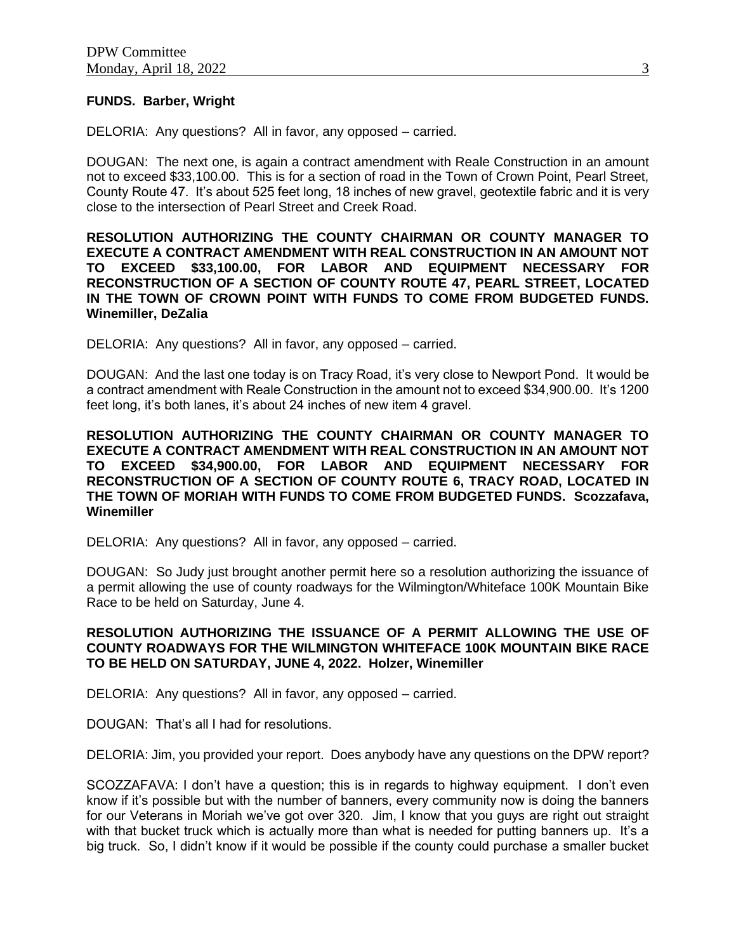### **FUNDS. Barber, Wright**

DELORIA: Any questions? All in favor, any opposed – carried.

DOUGAN: The next one, is again a contract amendment with Reale Construction in an amount not to exceed \$33,100.00. This is for a section of road in the Town of Crown Point, Pearl Street, County Route 47. It's about 525 feet long, 18 inches of new gravel, geotextile fabric and it is very close to the intersection of Pearl Street and Creek Road.

**RESOLUTION AUTHORIZING THE COUNTY CHAIRMAN OR COUNTY MANAGER TO EXECUTE A CONTRACT AMENDMENT WITH REAL CONSTRUCTION IN AN AMOUNT NOT TO EXCEED \$33,100.00, FOR LABOR AND EQUIPMENT NECESSARY FOR RECONSTRUCTION OF A SECTION OF COUNTY ROUTE 47, PEARL STREET, LOCATED IN THE TOWN OF CROWN POINT WITH FUNDS TO COME FROM BUDGETED FUNDS. Winemiller, DeZalia**

DELORIA: Any questions? All in favor, any opposed – carried.

DOUGAN: And the last one today is on Tracy Road, it's very close to Newport Pond. It would be a contract amendment with Reale Construction in the amount not to exceed \$34,900.00. It's 1200 feet long, it's both lanes, it's about 24 inches of new item 4 gravel.

**RESOLUTION AUTHORIZING THE COUNTY CHAIRMAN OR COUNTY MANAGER TO EXECUTE A CONTRACT AMENDMENT WITH REAL CONSTRUCTION IN AN AMOUNT NOT TO EXCEED \$34,900.00, FOR LABOR AND EQUIPMENT NECESSARY FOR RECONSTRUCTION OF A SECTION OF COUNTY ROUTE 6, TRACY ROAD, LOCATED IN THE TOWN OF MORIAH WITH FUNDS TO COME FROM BUDGETED FUNDS. Scozzafava, Winemiller**

DELORIA: Any questions? All in favor, any opposed – carried.

DOUGAN: So Judy just brought another permit here so a resolution authorizing the issuance of a permit allowing the use of county roadways for the Wilmington/Whiteface 100K Mountain Bike Race to be held on Saturday, June 4.

# **RESOLUTION AUTHORIZING THE ISSUANCE OF A PERMIT ALLOWING THE USE OF COUNTY ROADWAYS FOR THE WILMINGTON WHITEFACE 100K MOUNTAIN BIKE RACE TO BE HELD ON SATURDAY, JUNE 4, 2022. Holzer, Winemiller**

DELORIA: Any questions? All in favor, any opposed – carried.

DOUGAN: That's all I had for resolutions.

DELORIA: Jim, you provided your report. Does anybody have any questions on the DPW report?

SCOZZAFAVA: I don't have a question; this is in regards to highway equipment. I don't even know if it's possible but with the number of banners, every community now is doing the banners for our Veterans in Moriah we've got over 320. Jim, I know that you guys are right out straight with that bucket truck which is actually more than what is needed for putting banners up. It's a big truck. So, I didn't know if it would be possible if the county could purchase a smaller bucket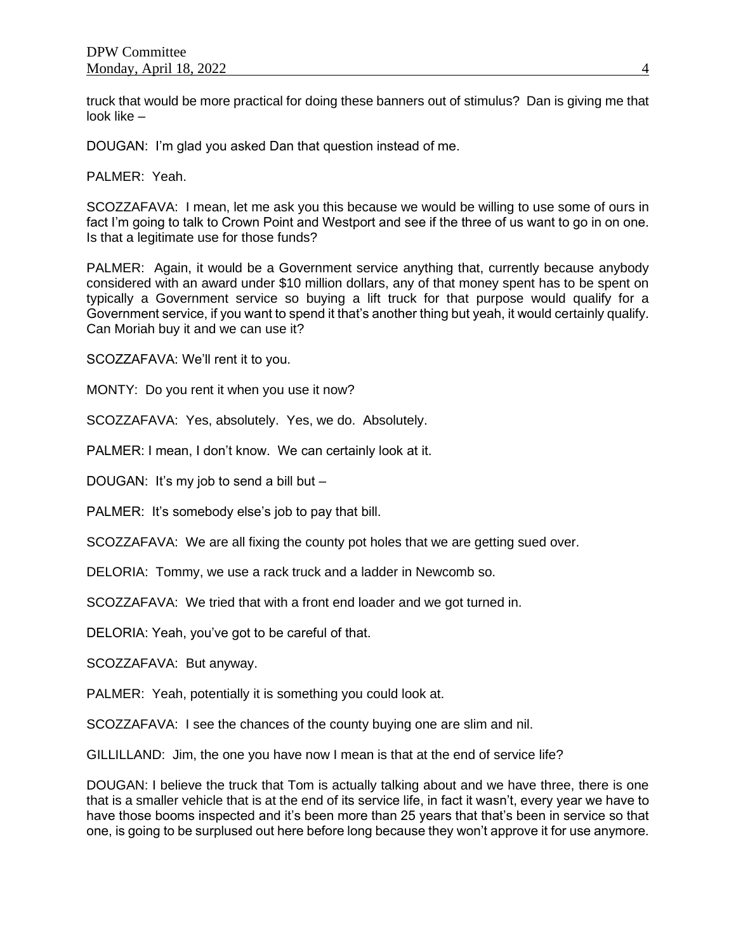truck that would be more practical for doing these banners out of stimulus? Dan is giving me that look like –

DOUGAN: I'm glad you asked Dan that question instead of me.

PALMER: Yeah.

SCOZZAFAVA: I mean, let me ask you this because we would be willing to use some of ours in fact I'm going to talk to Crown Point and Westport and see if the three of us want to go in on one. Is that a legitimate use for those funds?

PALMER: Again, it would be a Government service anything that, currently because anybody considered with an award under \$10 million dollars, any of that money spent has to be spent on typically a Government service so buying a lift truck for that purpose would qualify for a Government service, if you want to spend it that's another thing but yeah, it would certainly qualify. Can Moriah buy it and we can use it?

SCOZZAFAVA: We'll rent it to you.

MONTY: Do you rent it when you use it now?

SCOZZAFAVA: Yes, absolutely. Yes, we do. Absolutely.

PALMER: I mean, I don't know. We can certainly look at it.

DOUGAN: It's my job to send a bill but –

PALMER: It's somebody else's job to pay that bill.

SCOZZAFAVA: We are all fixing the county pot holes that we are getting sued over.

DELORIA: Tommy, we use a rack truck and a ladder in Newcomb so.

SCOZZAFAVA: We tried that with a front end loader and we got turned in.

DELORIA: Yeah, you've got to be careful of that.

SCOZZAFAVA: But anyway.

PALMER: Yeah, potentially it is something you could look at.

SCOZZAFAVA: I see the chances of the county buying one are slim and nil.

GILLILLAND: Jim, the one you have now I mean is that at the end of service life?

DOUGAN: I believe the truck that Tom is actually talking about and we have three, there is one that is a smaller vehicle that is at the end of its service life, in fact it wasn't, every year we have to have those booms inspected and it's been more than 25 years that that's been in service so that one, is going to be surplused out here before long because they won't approve it for use anymore.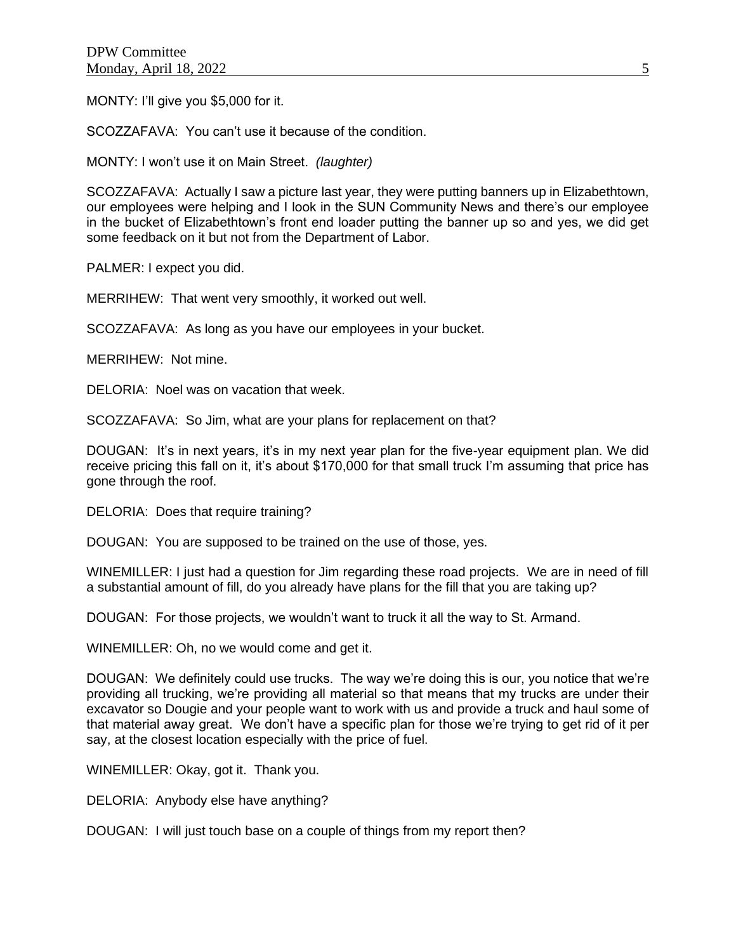MONTY: I'll give you \$5,000 for it.

SCOZZAFAVA: You can't use it because of the condition.

MONTY: I won't use it on Main Street. *(laughter)*

SCOZZAFAVA: Actually I saw a picture last year, they were putting banners up in Elizabethtown, our employees were helping and I look in the SUN Community News and there's our employee in the bucket of Elizabethtown's front end loader putting the banner up so and yes, we did get some feedback on it but not from the Department of Labor.

PALMER: I expect you did.

MERRIHEW: That went very smoothly, it worked out well.

SCOZZAFAVA: As long as you have our employees in your bucket.

MERRIHEW: Not mine.

DELORIA: Noel was on vacation that week.

SCOZZAFAVA: So Jim, what are your plans for replacement on that?

DOUGAN: It's in next years, it's in my next year plan for the five-year equipment plan. We did receive pricing this fall on it, it's about \$170,000 for that small truck I'm assuming that price has gone through the roof.

DELORIA: Does that require training?

DOUGAN: You are supposed to be trained on the use of those, yes.

WINEMILLER: I just had a question for Jim regarding these road projects. We are in need of fill a substantial amount of fill, do you already have plans for the fill that you are taking up?

DOUGAN: For those projects, we wouldn't want to truck it all the way to St. Armand.

WINEMILLER: Oh, no we would come and get it.

DOUGAN: We definitely could use trucks. The way we're doing this is our, you notice that we're providing all trucking, we're providing all material so that means that my trucks are under their excavator so Dougie and your people want to work with us and provide a truck and haul some of that material away great. We don't have a specific plan for those we're trying to get rid of it per say, at the closest location especially with the price of fuel.

WINEMILLER: Okay, got it. Thank you.

DELORIA: Anybody else have anything?

DOUGAN: I will just touch base on a couple of things from my report then?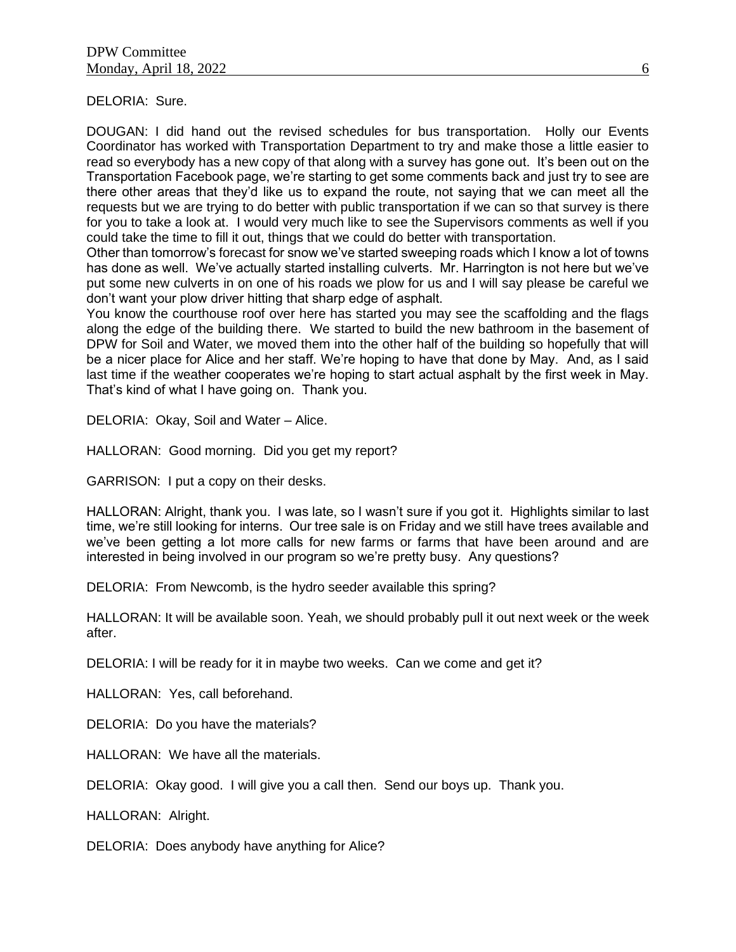DELORIA: Sure.

DOUGAN: I did hand out the revised schedules for bus transportation. Holly our Events Coordinator has worked with Transportation Department to try and make those a little easier to read so everybody has a new copy of that along with a survey has gone out. It's been out on the Transportation Facebook page, we're starting to get some comments back and just try to see are there other areas that they'd like us to expand the route, not saying that we can meet all the requests but we are trying to do better with public transportation if we can so that survey is there for you to take a look at. I would very much like to see the Supervisors comments as well if you could take the time to fill it out, things that we could do better with transportation.

Other than tomorrow's forecast for snow we've started sweeping roads which I know a lot of towns has done as well. We've actually started installing culverts. Mr. Harrington is not here but we've put some new culverts in on one of his roads we plow for us and I will say please be careful we don't want your plow driver hitting that sharp edge of asphalt.

You know the courthouse roof over here has started you may see the scaffolding and the flags along the edge of the building there. We started to build the new bathroom in the basement of DPW for Soil and Water, we moved them into the other half of the building so hopefully that will be a nicer place for Alice and her staff. We're hoping to have that done by May. And, as I said last time if the weather cooperates we're hoping to start actual asphalt by the first week in May. That's kind of what I have going on. Thank you.

DELORIA: Okay, Soil and Water – Alice.

HALLORAN: Good morning. Did you get my report?

GARRISON: I put a copy on their desks.

HALLORAN: Alright, thank you. I was late, so I wasn't sure if you got it. Highlights similar to last time, we're still looking for interns. Our tree sale is on Friday and we still have trees available and we've been getting a lot more calls for new farms or farms that have been around and are interested in being involved in our program so we're pretty busy. Any questions?

DELORIA: From Newcomb, is the hydro seeder available this spring?

HALLORAN: It will be available soon. Yeah, we should probably pull it out next week or the week after.

DELORIA: I will be ready for it in maybe two weeks. Can we come and get it?

HALLORAN: Yes, call beforehand.

DELORIA: Do you have the materials?

HALLORAN: We have all the materials.

DELORIA: Okay good. I will give you a call then. Send our boys up. Thank you.

HALLORAN: Alright.

DELORIA: Does anybody have anything for Alice?